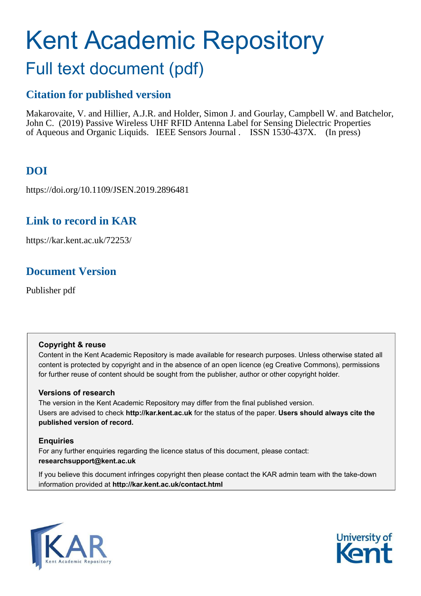# Kent Academic Repository

## Full text document (pdf)

## **Citation for published version**

Makarovaite, V. and Hillier, A.J.R. and Holder, Simon J. and Gourlay, Campbell W. and Batchelor, John C. (2019) Passive Wireless UHF RFID Antenna Label for Sensing Dielectric Properties of Aqueous and Organic Liquids. IEEE Sensors Journal . ISSN 1530-437X. (In press)

## **DOI**

https://doi.org/10.1109/JSEN.2019.2896481

## **Link to record in KAR**

https://kar.kent.ac.uk/72253/

## **Document Version**

Publisher pdf

#### **Copyright & reuse**

Content in the Kent Academic Repository is made available for research purposes. Unless otherwise stated all content is protected by copyright and in the absence of an open licence (eg Creative Commons), permissions for further reuse of content should be sought from the publisher, author or other copyright holder.

#### **Versions of research**

The version in the Kent Academic Repository may differ from the final published version. Users are advised to check **http://kar.kent.ac.uk** for the status of the paper. **Users should always cite the published version of record.**

### **Enquiries**

For any further enquiries regarding the licence status of this document, please contact: **researchsupport@kent.ac.uk**

If you believe this document infringes copyright then please contact the KAR admin team with the take-down information provided at **http://kar.kent.ac.uk/contact.html**



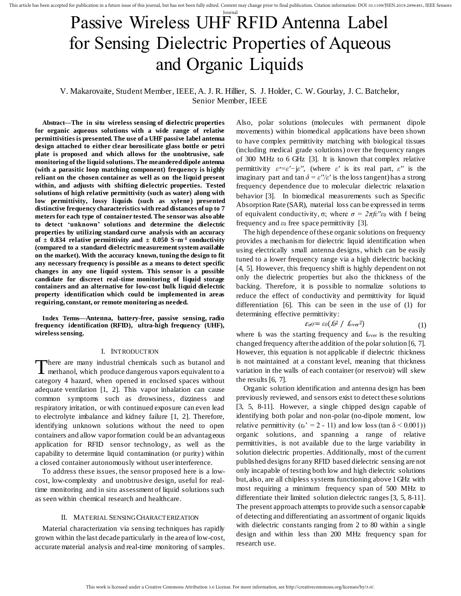This article has been accepted for publication in a future issue of this journal, but has not been fully edited. Content may change prior to final publication. Citation information: DOI 10.1109/JSEN.2019.2896481, IEEE Sens

## Journal Passive Wireless UHF RFID Antenna Label for Sensing Dielectric Properties of Aqueous and Organic Liquids

#### V. Makarovaite, Student Member, IEEE, A. J. R. Hillier, S. J. Holder, C. W. Gourlay, J. C. Batchelor, Senior Member, IEEE

**Abstract—The in situ wireless sensing of dielectric properties for organic aqueous solutions with a wide range of relative permittivities is presented. The use of a UHF passive label antenna design attached to either clear borosilicate glass bottle or petri plate is proposed and which allows for the unobtrusive, safe monitoring of the liquid solutions. The meandered dipole antenna (with a parasitic loop matching component) frequency is highly reliant on the chosen container as well as on the liquid present within, and adjusts with shifting dielectric properties. Tested solutions of high relative permittivity (such as water) along with low permittivity, lossy liquids (such as xylene) presented distinctive frequency characteristics with read distances of up to 7 meters for each type of container tested. The sensor was also able to detect 'unknown' solutions and determine the dielectric properties by utilizing standard curve analysis with an accuracy**  of  $\pm$  0.834 relative permittivity and  $\pm$  0.050 S $\cdot$ m<sup>-1</sup> conductivity **(compared to a standard dielectric measurement system available on the market). With the accuracy known, tuning the design to fit any necessary frequency is possible as a means to detect specific changes in any one liquid system. This sensor is a possible candidate for discreet real-time monitoring of liquid storage containers and an alternative for low-cost bulk liquid dielectric property identification which could be implemented in areas requiring, constant, or remote monitoring as needed.** 

**Index Terms—Antenna, battery-free, passive sensing, radio frequency identification (RFID), ultra-high frequency (UHF), wireless sensing.** 

#### I. INTRODUCTION

There are many industrial chemicals such as butanol and methanol, which produce dangerous vapors equivalent to a **L** methanol, which produce dangerous vapors equivalent to a category 4 hazard, when opened in enclosed spaces without adequate ventilation [1, 2]. This vapor inhalation can cause common symptoms such as drowsiness, dizziness and respiratory irritation, or with continued exposure can even lead to electrolyte imbalance and kidney failure [1, 2]. Therefore, identifying unknown solutions without the need to open containers and allow vapor formation could be an advantageous application for RFID sensor technology, as well as the capability to determine liquid contamination (or purity) within a closed container autonomously without user interference.

To address these issues, the sensor proposed here is a lowcost, low-complexity and unobtrusive design, useful for realtime monitoring and in situ assessment of liquid solutions such as seen within chemical research and healthcare.

#### II. MATERIAL SENSING CHARACTERIZATION

Material characterization via sensing techniques has rapidly grown within the last decade particularly in the area of low-cost, accurate material analysis and real-time monitoring of samples. Also, polar solutions (molecules with permanent dipole movements) within biomedical applications have been shown to have complex permittivity matching with biological tissues (including medical grade solutions) over the frequency ranges of 300 MHz to 6 GHz [3]. It is known that complex relative permittivity  $\varepsilon^* = \varepsilon' - j\varepsilon''$ , (where  $\varepsilon'$  is its real part,  $\varepsilon''$  is the imaginary part and  $\tan \delta = \varepsilon''/\varepsilon'$  is the loss tangent) has a strong frequency dependence due to molecular dielectric relaxation behavior [3]. In biomedical measurements such as Specific Absorption Rate (SAR), material loss can be expressed in terms of equivalent conductivity, σ; where  $\sigma = 2\pi f e''\epsilon_0$  with f being frequency and  $\varepsilon_0$  free space permittivity [3].

The high dependence of these organic solutions on frequency provides a mechanism for dielectric liquid identification when using electrically small antenna designs, which can be easily tuned to a lower frequency range via a high dielectric backing [4, 5]. However, this frequency shift is highly dependent on not only the dielectric properties but also the thickness of the backing. Therefore, it is possible to normalize solutions to reduce the effect of conductivity and permittivity for liquid differentiation [6]. This can be seen in the use of (1) for determining effective permittivity:

$$
\mathcal{E}_{\text{eff}} = \varepsilon_0 (f_0^2 / f_{\text{over}}^2) \tag{1}
$$

where  $f_0$  was the starting frequency and  $f_{over}$  is the resulting changed frequency after the addition of the polar solution [6, 7]. However, this equation is not applicable if dielectric thickness is not maintained at a constant level, meaning that thickness variation in the walls of each container (or reservoir) will skew the results [6, 7].

Organic solution identification and antenna design has been previously reviewed, and sensors exist to detect these solutions [3, 5, 8-11]. However, a single chipped design capable of identifying both polar and non-polar (no-dipole moment, low relative permittivity  $(\epsilon_r' = 2 - 11)$  and low loss (tan  $\delta$  < 0.001)) organic solutions, and spanning a range of relative permittivities, is not available due to the large variability in solution dielectric properties. Additionally, most of the current published designs for any RFID based dielectric sensing are not only incapable of testing both low and high dielectric solutions but, also, are all chipless systems functioning above 1 GHz with most requiring a minimum frequency span of 500 MHz to differentiate their limited solution dielectric ranges [3, 5, 8-11]. The present approach attempts to provide such a sensor capable of detecting and differentiating an assortment of organic liquids with dielectric constants ranging from 2 to 80 within a single design and within less than 200 MHz frequency span for research use.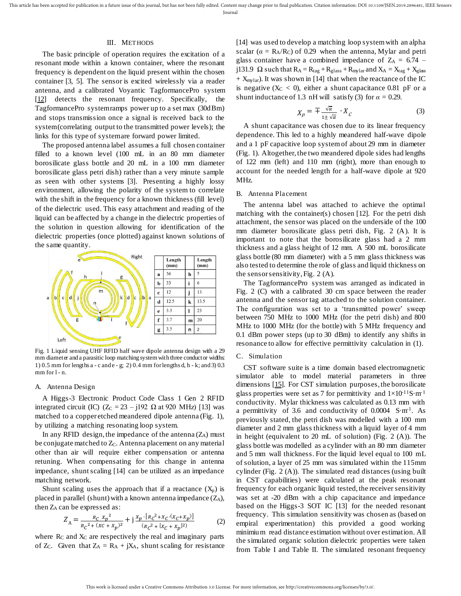#### III. METHODS

The basic principle of operation requires the excitation of a resonant mode within a known container, where the resonant frequency is dependent on the liquid present within the chosen container [3, 5]. The sensor is excited wirelessly via a reader antenna, and a calibrated Voyantic TagformancePro system [\[12\]](https://voyantic.com/tagformance) detects the resonant frequency. Specifically, the TagformancePro system ramps power up to a set max (30dBm) and stops transmission once a signal is received back to the system (correlating output to the transmitted power levels); the links for this type of system are forward power limited.

The proposed antenna label assumes a full chosen container filled to a known level (100 mL in an 80 mm diameter borosilicate glass bottle and 20 mL in a 100 mm diameter borosilicate glass petri dish) rather than a very minute sample as seen with other systems [3]. Presenting a highly lossy environment, allowing the polarity of the system to correlate with the shift in the frequency for a known thickness (fill level) of the dielectric used. This easy attachment and reading of the liquid can be affected by a change in the dielectric properties of the solution in question allowing for identification of the dielectric properties (once plotted) against known solutions of the same quantity.



Fig. 1 Liquid sensing UHF RFID half wave dipole antenna design with a 29 mm diameter and a parasitic loop matching system with three conductor widths: 1) 0.5 mm for lengths a - c and e - g; 2) 0.4 mm for lengths d, h - k; and 3) 0.3 mm for l - n.

#### A. Antenna Design

A Higgs-3 Electronic Product Code Class 1 Gen 2 RFID integrated circuit (IC) ( $Z_c = 23 - j192 \Omega$  at 920 MHz) [13] was matched to a copper etched meandered dipole antenna (Fig. 1), by utilizing a matching resonating loop system.

In any RFID design, the impedance of the antenna  $(Z_A)$  must be conjugate matched to  $Z_c$ . Antenna placement on any material other than air will require either compensation or antenna retuning. When compensating for this change in antenna impedance, shunt scaling [14] can be utilized as an impedance matching network.

Shunt scaling uses the approach that if a reactance  $(X_p)$  is placed in parallel (shunt) with a known antenna impedance  $(Z_A)$ , then ZA can be expressed as:

$$
Z_{A} = \frac{R_{C} x_{p}^{2}}{R_{C}^{2} + (XC + X_{p})^{2}} + j \frac{X_{p} \cdot [R_{C}^{2} + X_{C} \cdot (X_{C} + X_{p})]}{(R_{C}^{2} + [X_{C} + X_{p}]^{2})}
$$
(2)

where  $R_C$  and  $X_C$  are respectively the real and imaginary parts of Z<sub>C</sub>. Given that  $Z_A = R_A + jX_A$ , shunt scaling for resistance

[14] was used to develop a matching loop system with an alpha scalar ( $\alpha = R_A/R_C$ ) of 0.29 when the antenna, Mylar and petri glass container have a combined impedance of  $Z_A = 6.74$  – j131.9  $\Omega$  such that  $R_A = R_{tag} + R_{glass} + R_{mylar}$  and  $X_A = X_{tag} + X_{glass}$  $+$  X<sub>mylar</sub>). It was shown in [14] that when the reactance of the IC is negative  $(X_C < 0)$ , either a shunt capacitance 0.81 pF or a shunt inductance of 1.3 nH will satisfy (3) for  $\alpha = 0.29$ .

$$
X_p = \mp \frac{\sqrt{\alpha}}{1 \pm \sqrt{\alpha}} \cdot X_c \tag{3}
$$

A shunt capacitance was chosen due to its linear frequency dependence. This led to a highly meandered half-wave dipole and a 1 pF capacitive loop system of about 29 mm in diameter (Fig. 1). Altogether, the two meandered dipole sides had lengths of 122 mm (left) and 110 mm (right), more than enough to account for the needed length for a half-wave dipole at 920 MHz.

#### B. Antenna Placement

The antenna label was attached to achieve the optimal matching with the container(s) chosen [12]. For the petri dish attachment, the sensor was placed on the underside of the 100 mm diameter borosilicate glass petri dish, Fig. 2 (A). It is important to note that the borosilicate glass had a 2 mm thickness and a glass height of 12 mm. A 500 mL borosilicate glass bottle (80 mm diameter) with a 5 mm glass thickness was also tested to determine the role of glass and liquid thickness on the sensor sensitivity, Fig. 2 (A).

The TagformancePro system was arranged as indicated in Fig. 2 (C) with a calibrated 30 cm space between the reader antenna and the sensor tag attached to the solution container. The configuration was set to a 'transmitted power' sweep between 750 MHz to 1000 MHz (for the petri dish) and 800 MHz to 1000 MHz (for the bottle) with 5 MHz frequency and 0.1 dBm power steps (up to 30 dBm) to identify any shifts in resonance to allow for effective permittivity calculation in (1).

#### C. Simulation

CST software suite is a time domain based electromagnetic simulator able to model material parameters in three dimensions [\[15\].](https://www.cst.com/) For CST simulation purposes, the borosilicate glass properties were set as 7 for permittivity and  $1\times10^{-11}$ S·m<sup>-1</sup> conductivity. Mylar thickness was calculated as 0.13 mm with a permittivity of 3.6 and conductivity of  $0.0004$  S·m<sup>-1</sup>. As previously stated, the petri dish was modelled with a 100 mm diameter and 2 mm glass thickness with a liquid layer of 4 mm in height (equivalent to 20 mL of solution) (Fig. 2 (A)). The glass bottle was modelled as a cylinder with an 80 mm diameter and 5 mm wall thickness. For the liquid level equal to 100 mL of solution, a layer of 25 mm was simulated within the 115mm cylinder (Fig. 2 (A)). The simulated read distances (using built in CST capabilities) were calculated at the peak resonant frequency for each organic liquid tested, the receiver sensitivity was set at -20 dBm with a chip capacitance and impedance based on the Higgs-3 SOT IC [13] for the needed resonant frequency. This simulation sensitivity was chosen as (based on empiral experimentation) this provided a good working minimium read distance estimation without over estimation. All the simulated organic solution dielectric properties were taken from Table I and Table II. The simulated resonant frequency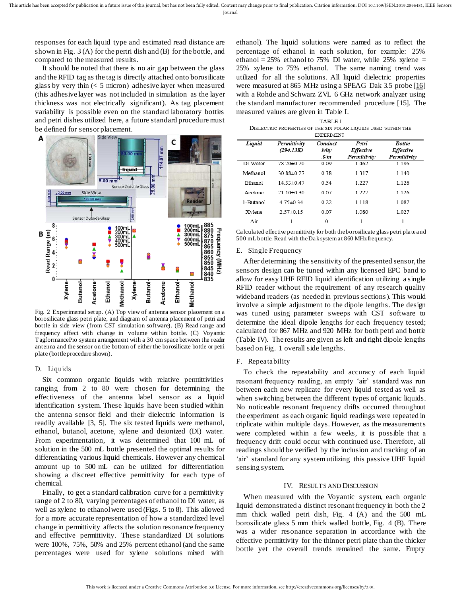responses for each liquid type and estimated read distance are shown in Fig. 3 (A) for the pertri dish and (B) for the bottle, and compared to the measured results.

It should be noted that there is no air gap between the glass and the RFID tag as the tag is directly attached onto borosilicate glass by very thin  $(< 5$  micron) adhesive layer when measured (this adhesive layer was not included in simulation as the layer thickness was not electrically significant). As tag placement variability is possible even on the standard laboratory bottles and petri dishes utilized here, a future standard procedure must be defined for sensor placement.



Fig. 2 Experimental setup. (A) Top view of antenna sensor placement on a borosilicate glass petri plate, and diagram of antenna placement of petri and bottle in side view (from CST simulation software). (B) Read range and frequency affect with change in volume within bottle. (C) Voyantic TagformancePro system arrangement with a 30 cm space between the reader antenna and the sensor on the bottom of either the borosilicate bottle or petri plate (bottle procedure shown).

#### D. Liquids

Six common organic liquids with relative permittivities ranging from 2 to 80 were chosen for determining the effectiveness of the antenna label sensor as a liquid identification system. These liquids have been studied within the antenna sensor field and their dielectric information is readily available [3, 5]. The six tested liquids were methanol, ethanol, butanol, acetone, xylene and deionized (DI) water. From experimentation, it was determined that 100 mL of solution in the 500 mL bottle presented the optimal results for differentiating various liquid chemicals. However any chemical amount up to 500 mL can be utilized for differentiation showing a discreet effective permittivity for each type of chemical.

Finally, to get a standard calibration curve for a permittivity range of 2 to 80, varying percentages of ethanol to DI water, as well as xylene to ethanol were used (Figs. 5 to 8). This allowed for a more accurate representation of how a standardized level change in permittivity affects the solution resonance frequency and effective permittivity. These standardized DI solutions were 100%, 75%, 50% and 25% percent ethanol (and the same percentages were used for xylene solutions mixed with

ethanol). The liquid solutions were named as to reflect the percentage of ethanol in each solution, for example: 25% ethanol =  $25\%$  ethanol to 75% DI water, while 25% xylene = 25% xylene to 75% ethanol. The same naming trend was utilized for all the solutions. All liquid dielectric properties were measured at 865 MHz using a SPEAG Dak 3.5 probe [\[16\]](https://www.speag.com/products/dak/dak-dielectric-probe-systems/dak-3-5-200-mhz-20-ghz/) with a Rohde and Schwarz ZVL 6 GHz network analyzer using the standard manufacturer recommended procedure [15]. The measured values are given in Table I.

**TABLE I** DIELECTRIC PROPERTIES OF THE SIX POLAR LIQUIDS USED WITHIN THE **EXPERIMENT** 

| Liquid    | Permittivity<br>(294.13K) | Conduct<br>ivity<br>S/m | Petri<br><b>Effective</b><br>Permittivity | <b>Bottle</b><br><b>Effective</b><br>Permittivity |
|-----------|---------------------------|-------------------------|-------------------------------------------|---------------------------------------------------|
| DI Water  | 78 20±0 20                | 0.09                    | 1462                                      | 1 1 9 6                                           |
| Methanol  | 30 88±0 27                | 0.38                    | 1317                                      | 1 1 4 0                                           |
| Ethanol   | 14.53±0.47                | 0.54                    | 1.227                                     | 1.126                                             |
| Acetone   | $2110\pm030$              | 0.07                    | 1 22.7                                    | 1 1 2 6                                           |
| 1-Butanol | $475 \pm 0.34$            | 0.22                    | 1 1 1 8                                   | 1 0 8 7                                           |
| Xylene    | $2.57\pm0.15$             | 0.07                    | 1.080                                     | 1.027                                             |
| Air       |                           | 0                       |                                           |                                                   |

Calculated effective permittivity for both the borosilicate glass petri plate and 500 mL bottle. Read with the Dak system at 860 MHz frequency.

#### E. Single Frequency

After determining the sensitivity of the presented sensor, the sensors design can be tuned within any licensed EPC band to allow for easy UHF RFID liquid identification utilizing a single RFID reader without the requirement of any research quality wideband readers (as needed in previous sections). This would involve a simple adjustment to the dipole lengths. The design was tuned using parameter sweeps with CST software to determine the ideal dipole lengths for each frequency tested; calculated for 867 MHz and 920 MHz for both petri and bottle (Table IV). The results are given as left and right dipole lengths based on Fig. 1 overall side lengths.

#### F. Repeatability

To check the repeatability and accuracy of each liquid resonant frequency reading, an empty 'air' standard was run between each new replicate for every liquid tested as well as when switching between the different types of organic liquids. No noticeable resonant frequency drifts occurred throughout the experiment as each organic liquid readings were repeated in triplicate within multiple days. However, as the measurements were completed within a few weeks, it is possible that a frequency drift could occur with continued use. Therefore, all readings should be verified by the inclusion and tracking of an 'air' standard for any system utilizing this passive UHF liquid sensing system.

#### IV. RESULTS AND DISCUSSION

When measured with the Voyantic system, each organic liquid demonstrated a distinct resonant frequency in both the 2 mm thick walled petri dish, Fig. 4 (A) and the 500 mL borosilicate glass 5 mm thick walled bottle, Fig. 4 (B). There was a wider resonance separation in accordance with the effective permittivity for the thinner petri plate than the thicker bottle yet the overall trends remained the same. Empty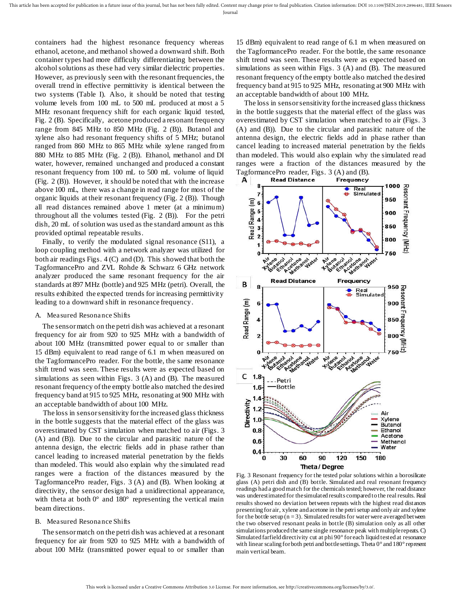containers had the highest resonance frequency whereas ethanol, acetone, and methanol showed a downward shift. Both container types had more difficulty differentiating between the alcohol solutions as these had very similar dielectric properties. However, as previously seen with the resonant frequencies, the overall trend in effective permittivity is identical between the two systems (Table I). Also, it should be noted that testing volume levels from 100 mL to 500 mL produced at most a 5 MHz resonant frequency shift for each organic liquid tested, Fig. 2 (B). Specifically, acetone produced a resonant frequency range from 845 MHz to 850 MHz (Fig. 2 (B)). Butanol and xylene also had resonant frequency shifts of 5 MHz; butanol ranged from 860 MHz to 865 MHz while xylene ranged from 880 MHz to 885 MHz (Fig. 2 (B)). Ethanol, methanol and DI water, however, remained unchanged and produced a constant resonant frequency from 100 mL to 500 mL volume of liquid (Fig. 2 (B)). However, it should be noted that with the increase above 100 mL, there was a change in read range for most of the organic liquids at their resonant frequency (Fig. 2 (B)). Though all read distances remained above 1 meter (at a minimum) throughout all the volumes tested (Fig. 2 (B)). For the petri dish, 20 mL of solution was used as the standard amount as this provided optimal repeatable results.

Finally, to verify the modulated signal resonance (S11), a loop coupling method with a network analyzer was utilized for both air readings Figs. 4 (C) and (D). This showed that both the TagformancePro and ZVL Rohde & Schwarz 6 GHz network analyzer produced the same resonant frequency for the air standards at 897 MHz (bottle) and 925 MHz (petri). Overall, the results exhibited the expected trends for increasing permittivity leading to a downward shift in resonance frequency.

#### A. Measured Resonance Shifts

The sensor match on the petri dish was achieved at a resonant frequency for air from 920 to 925 MHz with a bandwidth of about 100 MHz (transmitted power equal to or smaller than 15 dBm) equivalent to read range of 6.1 m when measured on the TagformancePro reader. For the bottle, the same resonance shift trend was seen. These results were as expected based on simulations as seen within Figs. 3 (A) and (B). The measured resonant frequency of the empty bottle also matched the desired frequency band at 915 to 925 MHz, resonating at 900 MHz with an acceptable bandwidth of about 100 MHz.

The loss in sensor sensitivity for the increased glass thickness in the bottle suggests that the material effect of the glass was overestimated by CST simulation when matched to air (Figs. 3 (A) and (B)). Due to the circular and parasitic nature of the antenna design, the electric fields add in phase rather than cancel leading to increased material penetration by the fields than modeled. This would also explain why the simulated read ranges were a fraction of the distances measured by the TagformancePro reader, Figs. 3 (A) and (B). When looking at directivity, the sensor design had a unidirectional appearance, with theta at both  $0^{\circ}$  and  $180^{\circ}$  representing the vertical main beam directions.

#### B. Measured Resonance Shifts

The sensor match on the petri dish was achieved at a resonant frequency for air from 920 to 925 MHz with a bandwidth of about 100 MHz (transmitted power equal to or smaller than

15 dBm) equivalent to read range of 6.1 m when measured on the TagformancePro reader. For the bottle, the same resonance shift trend was seen. These results were as expected based on simulations as seen within Figs. 3 (A) and (B). The measured resonant frequency of the empty bottle also matched the desired frequency band at 915 to 925 MHz, resonating at 900 MHz with an acceptable bandwidth of about 100 MHz.

The loss in sensor sensitivity for the increased glass thickness in the bottle suggests that the material effect of the glass was overestimated by CST simulation when matched to air (Figs. 3 (A) and (B)). Due to the circular and parasitic nature of the antenna design, the electric fields add in phase rather than cancel leading to increased material penetration by the fields than modeled. This would also explain why the simulated read ranges were a fraction of the distances measured by the TagformancePro reader, Figs. 3 (A) and (B).



Fig. 3 Resonant frequency for the tested polar solutions within a borosilicate glass (A) petri dish and (B) bottle. Simulated and real resonant frequency readings had a good match for the chemicals tested; however, the read distance was underestimated for the simulated results compared to the real results. Real results showed no deviation between repeats with the highest read distances presenting for air, xylene and acetone in the petri setup and only air and xylene for the bottle setup  $(n = 3)$ . Simulated results for water were averaged between the two observed resonant peaks in bottle (B) simulation only as all other simulations produced the same single resonance peak with multiple repeats. C) Simulated farfield directivity cut at phi 90° for each liquid tested at resonance with linear scaling for both petri and bottle settings. Theta 0° and 180° represent main vertical beam.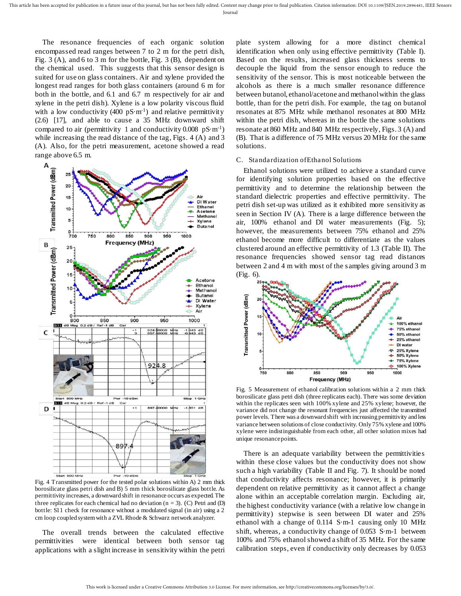The resonance frequencies of each organic solution encompassed read ranges between 7 to 2 m for the petri dish, Fig. 3 (A), and 6 to 3 m for the bottle, Fig. 3 (B), dependent on the chemical used. This suggests that this sensor design is suited for use on glass containers. Air and xylene provided the longest read ranges for both glass containers (around 6 m for both in the bottle, and 6.1 and 6.7 m respectively for air and xylene in the petri dish). Xylene is a low polarity viscous fluid with a low conductivity (400  $pS·m<sup>-1</sup>$ ) and relative permittivity (2.6) [17], and able to cause a 35 MHz downward shift compared to air (permittivity 1 and conductivity  $0.008 \text{ pS} \cdot \text{m}^{-1}$ ) while increasing the read distance of the tag, Figs. 4 (A) and 3 (A). Also, for the petri measurement, acetone showed a read range above 6.5 m.



Fig. 4 Transmitted power for the tested polar solutions within A) 2 mm thick borosilicate glass petri dish and B) 5 mm thick borosilicate glass bottle. As permittivity increases, a downward shift in resonance occurs as expected. The three replicates for each chemical had no deviation ( $n = 3$ ). (C) Petri and (D) bottle: S11 check for resonance without a modulated signal (in air) using a 2 cm loop coupled system with a ZVL Rhode & Schwarz network analyzer.

The overall trends between the calculated effective permittivities were identical between both sensor tag applications with a slight increase in sensitivity within the petri

plate system allowing for a more distinct chemical identification when only using effective permittivity (Table I). Based on the results, increased glass thickness seems to decouple the liquid from the sensor enough to reduce the sensitivity of the sensor. This is most noticeable between the alcohols as there is a much smaller resonance difference between butanol, ethanol/acetone and methanol within the glass bottle, than for the petri dish. For example, the tag on butanol resonates at 875 MHz while methanol resonates at 800 MHz within the petri dish, whereas in the bottle the same solutions resonate at 860 MHz and 840 MHz respectively, Figs. 3 (A) and (B). That is a difference of 75 MHz versus 20 MHz for the same solutions.

#### C. Standardization of Ethanol Solutions

Ethanol solutions were utilized to achieve a standard curve for identifying solution properties based on the effective permittivity and to determine the relationship between the standard dielectric properties and effective permittivity. The petri dish set-up was utilized as it exhibited more sensitivity as seen in Section IV (A). There is a large difference between the air, 100% ethanol and DI water measurements (Fig. 5); however, the measurements between 75% ethanol and 25% ethanol become more difficult to differentiate as the values clustered around an effective permittivity of 1.3 (Table II). The resonance frequencies showed sensor tag read distances between 2 and 4 m with most of the samples giving around 3 m (Fig. 6).



Fig. 5 Measurement of ethanol calibration solutions within a 2 mm thick borosilicate glass petri dish (three replicates each). There was some deviation within the replicates seen with 100% xylene and 25% xylene; however, the variance did not change the resonant frequencies just affected the transmitted power levels. There was a downward shift with increasing permittivity and less variance between solutions of close conductivity. Only 75% xylene and 100% xylene were indistinguishable from each other, all other solution mixes had unique resonance points.

There is an adequate variability between the permittivities within these close values but the conductivity does not show such a high variability (Table II and Fig. 7). It should be noted that conductivity affects resonance; however, it is primarily dependent on relative permittivity as it cannot affect a change alone within an acceptable correlation margin. Excluding air, the highest conductivity variance (with a relative low change in permittivity) stepwise is seen between DI water and 25% ethanol with a change of 0.114 S·m-1 causing only 10 MHz shift, whereas, a conductivity change of 0.053 S·m-1 between 100% and 75% ethanol showed a shift of 35 MHz. For the same calibration steps, even if conductivity only decreases by 0.053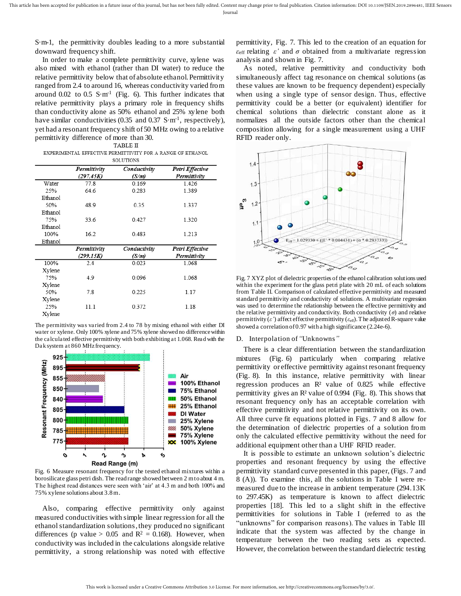S·m-1, the permittivity doubles leading to a more substantial downward frequency shift.

In order to make a complete permittivity curve, xylene was also mixed with ethanol (rather than DI water) to reduce the relative permittivity below that of absolute ethanol. Permittivity ranged from 2.4 to around 16, whereas conductivity varied from around  $0.02$  to  $0.5$  S·m<sup>-1</sup> (Fig. 6). This further indicates that relative permittivity plays a primary role in frequency shifts than conductivity alone as 50% ethanol and 25% xylene both have similar conductivities (0.35 and 0.37 S·m<sup>-1</sup>, respectively), yet had a resonant frequency shift of 50 MHz owing to a relative permittivity difference of more than 30.

EXPERIMENTAL EFFECTIVE PERMITTIVITY FOR A RANGE OF ETHANOL **SOLUTIONS** 

|         | Permittivity<br>(297.45K) | Conductivity<br>(S/m) | Petri Effective<br>Permittivity |  |  |
|---------|---------------------------|-----------------------|---------------------------------|--|--|
| Water   | 77.8<br>0.169             |                       | 1.426                           |  |  |
| 25%     | 64.6                      | 0.283                 | 1.389                           |  |  |
| Ethanol |                           |                       |                                 |  |  |
| 50%     | 48.9                      | 0.35                  | 1.337                           |  |  |
| Ethanol |                           |                       |                                 |  |  |
| 75%     | 33.6                      | 0.427                 | 1.320                           |  |  |
| Ethanol |                           |                       |                                 |  |  |
| 100%    | 16.2                      | 0.483                 | 1.213                           |  |  |
| Ethanol |                           |                       |                                 |  |  |
|         | Permittivity              | Conductivity          | Petri Effective                 |  |  |
|         | (299.15K)                 | (S/m)                 | Permittivity                    |  |  |
| 100%    | 2.4                       | 0.023                 | 1.068                           |  |  |
| Xylene  |                           |                       |                                 |  |  |
| 75%     | 4.9                       | 0.096                 | 1.068                           |  |  |
| Xylene  |                           |                       |                                 |  |  |
| 50%     | 7.8                       | 0.225                 | 1.17                            |  |  |
| Xylene  |                           |                       |                                 |  |  |
| 25%     | 11.1                      | 0.372                 | 1.18                            |  |  |
| Xylene  |                           |                       |                                 |  |  |
|         |                           |                       |                                 |  |  |

The permittivity was varied from 2.4 to 78 by mixing ethanol with either DI water or xylene. Only 100% xylene and 75% xylene showed no difference within the calculated effective permittivity with both exhibiting at 1.068. Read with the Dak system at 860 MHz frequency.



Fig. 6 Measure resonant frequency for the tested ethanol mixtures within a borosilicate glass petri dish. The read range showed between 2 m to about 4 m. The highest read distances were seen with 'air' at 4.3 m and both 100% and 75% xylene solutions about 3.8 m.

Also, comparing effective permittivity only against measured conductivities with simple linear regression for all the ethanol standardization solutions, they produced no significant differences (p value > 0.05 and  $R^2 = 0.168$ ). However, when conductivity was included in the calculations alongside relative permittivity, a strong relationship was noted with effective

permittivity, Fig. 7. This led to the creation of an equation for  $\epsilon_{\text{eff}}$  relating  $\epsilon'$  and  $\sigma$  obtained from a multivariate regression analysis and shown in Fig. 7.

As noted, relative permittivity and conductivity both simultaneously affect tag resonance on chemical solutions (as these values are known to be frequency dependent) especially when using a single type of sensor design. Thus, effective permittivity could be a better (or equivalent) identifier for chemical solutions than dielectric constant alone as it normalizes all the outside factors other than the chemical composition allowing for a single measurement using a UHF RFID reader only.



Fig. 7 XYZ plot of dielectric properties of the ethanol calibration solutions used within the experiment for the glass petri plate with 20 mL of each solutions from Table II. Comparison of calculated effective permittivity and measured standard permittivity and conductivity of solutions. A multivariate regression was used to determine the relationship between the effective permittivity and the relative permittivity and conductivity. Both conductivity (*σ*) and relative permittivity  $(\varepsilon')$  affect effective permittivity  $(\varepsilon_{\text{eff}})$ . The adjusted R-square value showed a correlation of 0.97 with a high significance (2.24e-6).

#### D. Interpolation of *"*Unknowns*"*

There is a clear differentiation between the standardization mixtures (Fig. 6) particularly when comparing relative permittivity or effective permittivity against resonant frequency (Fig. 8). In this instance, relative permittivity with linear regression produces an R² value of 0.825 while effective permittivity gives an R² value of 0.994 (Fig. 8). This shows that resonant frequency only has an acceptable correlation with effective permittivity and not relative permittivity on its own. All three curve fit equations plotted in Figs. 7 and 8 allow for the determination of dielectric properties of a solution from only the calculated effective permittivity without the need for additional equipment other than a UHF RFID reader.

It is possible to estimate an unknown solution's dielectric properties and resonant frequency by using the effective permittivity standard curve presented in this paper, (Figs. 7 and 8 (A)). To examine this, all the solutions in Table I were remeasured due to the increase in ambient temperature (294.13K to 297.45K) as temperature is known to affect dielectric properties [18]. This led to a slight shift in the effective permittivities for solutions in Table I (referred to as the "unknowns" for comparison reasons). The values in Table III indicate that the system was affected by the change in temperature between the two reading sets as expected. However, the correlation between the standard dielectric testing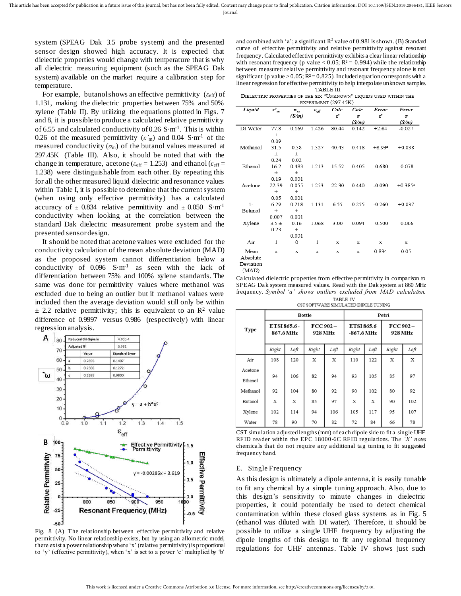Journal

system (SPEAG Dak 3.5 probe system) and the presented sensor design showed high accuracy. It is expected that dielectric properties would change with temperature that is why all dielectric measuring equipment (such as the SPEAG Dak system) available on the market require a calibration step for temperature.

For example, butanol shows an effective permittivity ( $\varepsilon$ <sub>eff</sub>) of 1.131, making the dielectric properties between 75% and 50% xylene (Table II). By utilizing the equations plotted in Figs. 7 and 8, it is possible to produce a calculated relative permittivity of 6.55 and calculated conductivity of 0.26  $S·m<sup>-1</sup>$ . This is within 0.26 of the measured permittivity  $(\varepsilon'_m)$  and 0.04 S·m<sup>-1</sup> of the measured conductivity  $(\sigma_m)$  of the butanol values measured at 297.45K (Table III). Also, it should be noted that with the change in temperature, acetone ( $\varepsilon_{\text{eff}}$  = 1.253) and ethanol ( $\varepsilon_{\text{eff}}$  = 1.238) were distinguishable from each other. By repeating this for all the other measured liquid dielectric and resonance values within Table I, it is possible to determine that the current system (when using only effective permittivity) has a calculated accuracy of  $\pm$  0.834 relative permittivity and  $\pm$  0.050 S·m<sup>-1</sup> conductivity when looking at the correlation between the standard Dak dielectric measurement probe system and the presented sensor design.

It should be noted that acetone values were excluded for the conductivity calculation of the mean absolute deviation (MAD) as the proposed system cannot differentiation below a conductivity of  $0.096$  S·m<sup>-1</sup> as seen with the lack of differentiation between 75% and 100% xylene standards. The same was done for permittivity values where methanol was excluded due to being an outlier but if methanol values were included then the average deviation would still only be within  $\pm$  2.2 relative permittivity; this is equivalent to an R<sup>2</sup> value difference of 0.9997 versus 0.986 (respectively) with linear regression analysis.



Fig. 8 (A) The relationship between effective permittivity and relative permittivity. No linear relationship exists, but by using an allometric model, there exist a power relationship where 'x' (relative permittivity) is proportional to 'y' (effective permittivity), when 'x' is set to a power 'c' multiplied by 'b'

and combined with 'a'; a significant  $R^2$  value of 0.981 is shown. (B) Standard curve of effective permittivity and relative permittivity against resonant frequency. Calculated effective permittivity exhibits a clear linear relationship with resonant frequency (p value < 0.05;  $R^2 = 0.994$ ) while the relationship between measured relative permittivity and resonant frequency alone is not significant (p value >  $0.05$ ;  $R<sup>2</sup> = 0.825$ ). Included equation corresponds with a linear regression for effective permittivity to help interpolate unknown samples.

DIELECTRIC PROPERTIES OF THE SIX "UNKNOWN" LIOUIDS USED WITHIN THE EXPERIMENT (297.45K)

| Liquid         | $\epsilon'{}_{\rm m}$ | $\sigma_{\rm m}$ | $\varepsilon_{\it eff}$ | Calc.         | Calc. | Error         | <b>Error</b>          |
|----------------|-----------------------|------------------|-------------------------|---------------|-------|---------------|-----------------------|
|                |                       | (S/m)            |                         | $\varepsilon$ | σ     | $\varepsilon$ | σ                     |
|                |                       |                  |                         |               | (S/m) |               | (S/m)                 |
| DI Water       | 77.8                  | 0.169            | 1.426                   | 80.44         | 0.142 | $+2.64$       | $-0.027$              |
|                | $\pm$                 |                  |                         |               |       |               |                       |
|                | 0.09                  |                  |                         |               |       |               |                       |
| Methanol       | 31.5                  | 0.38             | 1.327                   | 40.43         | 0.418 | $+8.93a$      | $+0.038$              |
|                | $_{\pm}$              | $_{\pm}$         |                         |               |       |               |                       |
|                | 0.24                  | 0.02             |                         |               |       |               |                       |
| Ethanol        | 16.2                  | 0.483            | 1.213                   | 15.52         | 0.405 | $-0.680$      | $-0.078$              |
|                | $_{\pm}$              | 士                |                         |               |       |               |                       |
|                | 0.19                  | 0.001            |                         |               |       |               |                       |
| Acetone        | 22.39                 | 0.055            | 1.253                   | 22.30         | 0.440 | $-0.090$      | $+0.385$ <sup>a</sup> |
|                | $_{\pm}$              | $_{\pm}$         |                         |               |       |               |                       |
|                | 0.05                  | 0.001            |                         |               |       |               |                       |
| $1-$           | 6.29                  | 0.218            | 1.131                   | 6.55          | 0.255 | $-0.260$      | $+0.037$              |
| <b>Butanol</b> | $_{\pm}$              | $\pm$            |                         |               |       |               |                       |
|                | 0.007                 | 0.001            |                         |               |       |               |                       |
| Xylene         | $3.5 +$               | 0.16             | 1.068                   | 3.00          | 0.094 | $-0.500$      | $-0.066$              |
|                | 0.23                  | $\pm$            |                         |               |       |               |                       |
|                |                       | 0.001            |                         |               |       |               |                       |
| Air            | $\mathbf{1}$          | 0                | 1                       | x             | x     | x             | x                     |
| Mean           | x                     | x                | X                       | X             | x     | 0.834         | 0.05                  |
| Absolute       |                       |                  |                         |               |       |               |                       |
| Deviation      |                       |                  |                         |               |       |               |                       |

(MAD)

Calculated dielectric properties from effective permittivity in comparison to SPEAG Dak system measured values. Read with the Dak system at 860 MHz frequency. Symbol 'a' shows outliers excluded from MAD calculation. TABLE IV

CST SOFTWARE SIMULATED DIPOLE TUNING

|                    | <b>Bottle</b>             |      |                        |      | Petri                    |      |                     |      |
|--------------------|---------------------------|------|------------------------|------|--------------------------|------|---------------------|------|
| <b>Type</b>        | ETSI 865.6 -<br>867.6 MHz |      | $FCC$ 902 -<br>928 MHz |      | ETSI 865.6<br>-867.6 MHz |      | FCC 902-<br>928 MHz |      |
|                    | Right                     | Left | Right                  | Left | Right                    | Left | Right               | Left |
| Air                | 108                       | 120  | X                      | X    | 110                      | 122  | X                   | X    |
| Acetone<br>Ethanol | 94                        | 106  | 82                     | 94   | 93                       | 105  | 85                  | 97   |
| Methanol           | 92                        | 104  | 80                     | 92   | 90                       | 102  | 80                  | 92   |
| <b>Butanol</b>     | X                         | X    | 85                     | 97   | X                        | X    | 90                  | 102  |
| Xylene             | 102                       | 114  | 94                     | 106  | 105                      | 117  | 95                  | 107  |
| Water              | 78                        | 90   | 70                     | 82   | 72                       | 84   | 66                  | 78   |

CST simulation adjusted lengths (mm) of each dipole side to fit a single UHF RFID reader within the EPC 18000-6C RFID regulations. Th*e 'X' notes*  chemicals that do not require any additional tag tuning to fit suggested frequency band.

#### E. Single Frequency

As this design is ultimately a dipole antenna, it is easily tunable to fit any chemical by a simple tuning approach. Also, due to this design's sensitivity to minute changes in dielectric properties, it could potentially be used to detect chemical contamination within these closed glass systems as in Fig. 5 (ethanol was diluted with DI water). Therefore, it should be possible to utilize a single UHF frequency by adjusting the dipole lengths of this design to fit any regional frequency regulations for UHF antennas. Table IV shows just such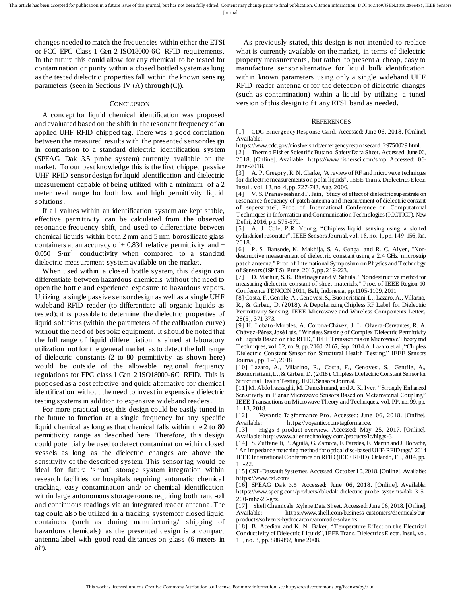changes needed to match the frequencies within either the ETSI or FCC EPC Class 1 Gen 2 ISO18000-6C RFID requirements. In the future this could allow for any chemical to be tested for contamination or purity within a closed bottled system as long as the tested dielectric properties fall within the known sensing parameters (seen in Sections IV (A) through (C)).

#### **CONCLUSION**

A concept for liquid chemical identification was proposed and evaluated based on the shift in the resonant frequency of an applied UHF RFID chipped tag. There was a good correlation between the measured results with the presented sensor design in comparison to a standard dielectric identification system (SPEAG Dak 3.5 probe system) currently available on the market. To our best knowledge this is the first chipped passive UHF RFID sensor design for liquid identification and dielectric measurement capable of being utilized with a minimum of a 2 meter read range for both low and high permittivity liquid solutions.

If all values within an identification system are kept stable, effective permittivity can be calculated from the observed resonance frequency shift, and used to differentiate between chemical liquids within both 2 mm and 5 mm borosilicate glass containers at an accuracy of  $\pm$  0.834 relative permittivity and  $\pm$  $0.050$  S·m<sup>-1</sup> conductivity when compared to a standard dielectric measurement system available on the market.

When used within a closed bottle system, this design can differentiate between hazardous chemicals without the need to open the bottle and experience exposure to hazardous vapors. Utilizing a single passive sensor design as well as a single UHF wideband RFID reader (to differentiate all organic liquids as tested); it is possible to determine the dielectric properties of liquid solutions (within the parameters of the calibration curve) without the need of bespoke equipment. It should be noted that the full range of liquid differentiation is aimed at laboratory utilization not for the general market as to detect the full range of dielectric constants (2 to 80 permittivity as shown here) would be outside of the allowable regional frequency regulations for EPC class 1 Gen 2 ISO18000-6C RFID. This is proposed as a cost effective and quick alternative for chemical identification without the need to invest in expensive dielectric testing systems in addition to expensive wideband readers.

For more practical use, this design could be easily tuned in the future to function at a single frequency for any specific liquid chemical as long as that chemical falls within the 2 to 80 permittivity range as described here. Therefore, this design could potentially be used to detect contamination within closed vessels as long as the dielectric changes are above the sensitivity of the described system. This sensor tag would be ideal for future 'smart' storage system integration within research facilities or hospitals requiring automatic chemical tracking, easy contamination and/ or chemical identification within large autonomous storage rooms requiring both hand-off and continuous readings via an integrated reader antenna. The tag could also be utilized in a tracking system for closed liquid containers (such as during manufacturing/ shipping of hazardous chemicals) as the presented design is a compact antenna label with good read distances on glass (6 meters in air).

As previously stated, this design is not intended to replace what is currently available on the market, in terms of dielectric property measurements, but rather to present a cheap, easy to manufacture sensor alternative for liquid bulk identification within known parameters using only a single wideband UHF RFID reader antenna or for the detection of dielectric changes (such as contamination) within a liquid by utilizing a tuned version of this design to fit any ETSI band as needed.

#### **REFERENCES**

[1] CDC Emergency Response Card. Accessed: June 06, 2018. [Online]. Available:

https://www.cdc.gov/niosh/ershdb/emergencyresponsecard\_29750029.html.

[2] Thermo Fisher Scientific Butanol Safety Data Sheet. Accessed: June 06, 2018. [Online]. Available: https://www.fishersci.com/shop. Accessed: 06- June-2018.

[3] A. P. Gregory, R. N. Clarke, "A review of RF and microwave techniques for dielectric measurements on polar liquids", IEEE Trans. Dielectrics Electr. Insul., vol. 13, no. 4, pp. 727-743, Aug. 2006.

[4] V. S. Pranavsesh and P. Jain, "Study of effect of dielectric superstrate on resonance frequency of patch antenna and measurement of dielectric constant of superstrate", Proc. of International Conference on Computational Techniques in Information and Communication Technologies (ICCTICT), New Delhi, 2016, pp. 575-579.

[5] A. J. Cole, P.R. Young, "Chipless liquid sensing using a slotted cylindrical resonator", IEEE Sensors Journal, vol. 18, no. 1, pp. 149-156, Jan. 2018.

[6] P. S. Bansode, K. Makhija, S. A. Gangal and R. C. Aiyer, "Nondestructive measurement of dielectric constant using a 2.4 GHz microstrip patch antenna," Proc. of International Symposium on Physics and Technology of Sensors (ISPTS), Pune, 2015, pp. 219-223.

[7] D. Mathur, S. K. Bhatnagar and V. Sahula, "Nondestructive method for measuring dielectric constant of sheet materials," Proc. of IEEE Region 10 Conference TENCON 2011, Bali, Indonesia, pp.1105-1109, 2011

[8] Costa, F., Gentile, A., Genovesi, S., Buoncristiani, L., Lazaro, A., Villarino, R., & Girbau, D. (2018). A Depolarizing Chipless RF Label for Dielectric Permittivity Sensing. IEEE Microwave and Wireless Components Letters, 28(5), 371-373.

[9] H. Lobato-Morales, A. Corona-Chávez, J. L. Olvera-Cervantes, R. A. Chávez-Pérez, José Luis, "Wireless Sensing of Complex Dielectric Permittivity of Liquids Based on the RFID," IEEE Transactions on Microwave Theory and Techniques, vol. 62, no. 9, pp. 2160-2167, Sep. 2014.A. Lazaro et al., "Chipless Dielectric Constant Sensor for Structural Health Testing," IEEE Sensors Journal, pp. 1–1, 2018

[10] Lazaro, A., Villarino, R., Costa, F., Genovesi, S., Gentile, A., Buoncristiani, L., & Girbau, D. (2018). Chipless Dielectric Constant Sensor for Structural Health Testing. IEEE Sensors Journal.

[11] M. Abdolrazzaghi, M. Daneshmand, and A. K. Iyer, "Strongly Enhanced Sensitivity in Planar Microwave Sensors Based on Metamaterial Coupling" IEEE Transactions on Microwave Theory and Techniques, vol. PP, no. 99, pp. 1–13, 2018.

[12] Voyantic Tagformance Pro. Accessed: June 06, 2018. [Online]. Available: https://voyantic.com/tagformance.

[13] Higgs-3 product overview. Accessed: May 25, 2017. [Online]. Available: http://www.alientechnology.com/products/ic/higgs-3.

[14] S. Zuffanelli, P. Aguilà, G. Zamora, F. Paredes, F. Martín and J. Bonache, "An impedance matching method for optical disc-based UHF-RFID tags," 2014 IEEE International Conference on RFID (IEEE RFID), Orlando, FL, 2014, pp. 15-22.

[15] CST-Dassault Systemes. Accessed: October 10, 2018. [Online]. Available: https://www.cst.com/

[16] SPEAG Dak 3.5. Accessed: June 06, 2018. [Online]. Available: https://www.speag.com/products/dak/dak-dielectric-probe-systems/dak-3-5- 200-mhz-20-ghz.

[17] Shell Chemicals Xylene Data Sheet. Accessed: June 06, 2018. [Online]. Available: https://www.shell.com/business-customers/chemicals/ourproducts/solvents-hydrocarbon/aromatic-solvents.

[18] B. Abedian and K. N. Baker, "Temperature Effect on the Electrical Conductivity of Dielectric Liquids", IEEE Trans. Dielectrics Electr. Insul., vol. 15, no. 3, pp. 888-892, June 2008.